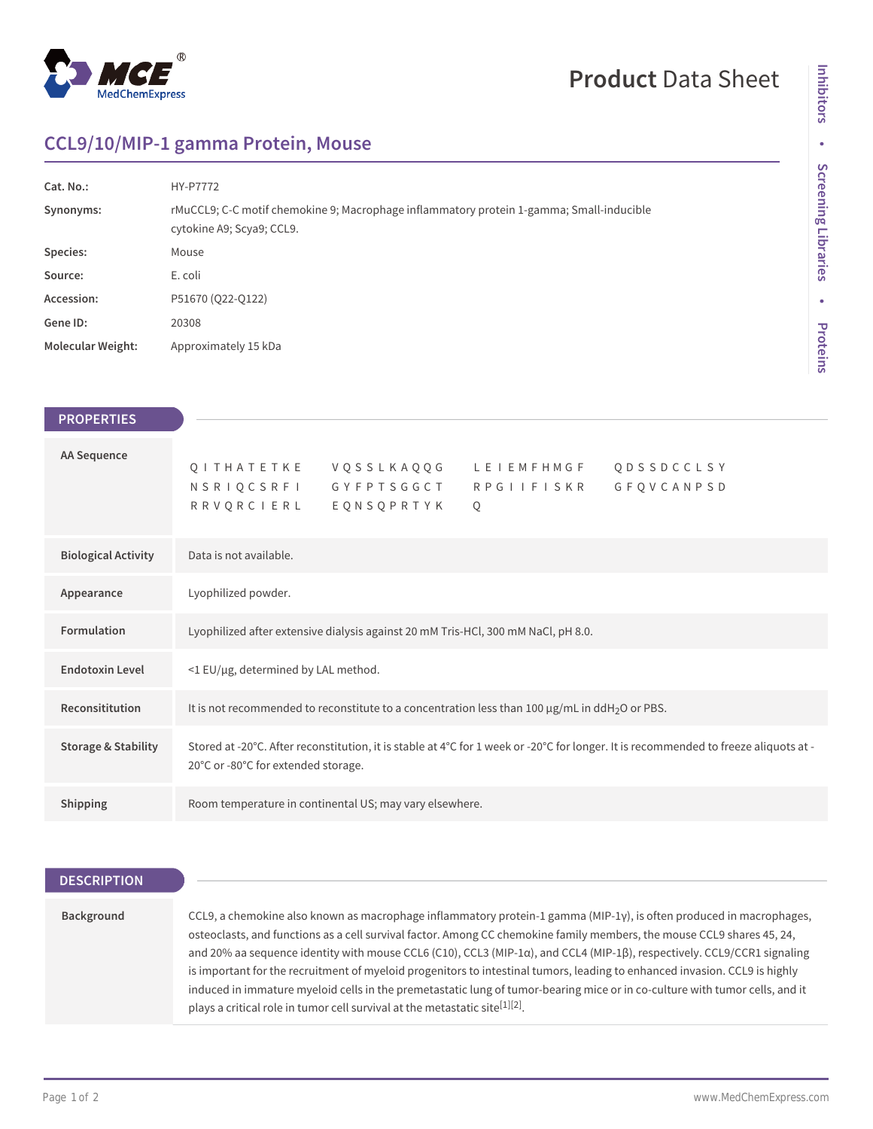

# **Product** Data Sheet

## **CCL9/10/MIP-1 gamma Protein, Mouse**

| Cat. No.:                | HY-P7772                                                                                                              |
|--------------------------|-----------------------------------------------------------------------------------------------------------------------|
| Synonyms:                | rMuCCL9; C-C motif chemokine 9; Macrophage inflammatory protein 1-gamma; Small-inducible<br>cytokine A9; Scya9; CCL9. |
| Species:                 | Mouse                                                                                                                 |
| Source:                  | E. coli                                                                                                               |
| Accession:               | P51670 (Q22-Q122)                                                                                                     |
| Gene ID:                 | 20308                                                                                                                 |
| <b>Molecular Weight:</b> | Approximately 15 kDa                                                                                                  |

| <b>PROPERTIES</b>              |
|--------------------------------|
|                                |
| AA Sequence                    |
|                                |
|                                |
| <b>Biological Activity</b>     |
| Appearance                     |
| Formulation                    |
| <b>Endotoxin Level</b>         |
| Reconsititution                |
| <b>Storage &amp; Stability</b> |
| <b>Shipping</b>                |

## **DESCRIPTION**

| Background | CCL9, a chemokine also known as macrophage inflammatory protein-1 gamma (MIP-1 $\gamma$ ), is often produced in macrophages,<br>osteoclasts, and functions as a cell survival factor. Among CC chemokine family members, the mouse CCL9 shares 45, 24, |
|------------|--------------------------------------------------------------------------------------------------------------------------------------------------------------------------------------------------------------------------------------------------------|
|            | and 20% aa sequence identity with mouse CCL6 (C10), CCL3 (MIP-1a), and CCL4 (MIP-1β), respectively. CCL9/CCR1 signaling                                                                                                                                |
|            | is important for the recruitment of myeloid progenitors to intestinal tumors, leading to enhanced invasion. CCL9 is highly                                                                                                                             |
|            | induced in immature myeloid cells in the premetastatic lung of tumor-bearing mice or in co-culture with tumor cells, and it                                                                                                                            |
|            | plays a critical role in tumor cell survival at the metastatic site <sup>[1][2]</sup> .                                                                                                                                                                |